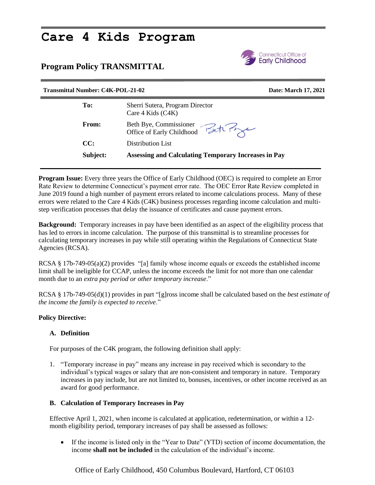# **Care 4 Kids Program**

### **Program Policy TRANSMITTAL**



## **Transmittal Number: C4K-POL-21-02 Date: March 17, 2021 To:** Sherri Sutera, Program Director Care 4 Kids (C4K) **From:** Beth Bye, Commissioner Office of Early Childhood **CC:** Distribution List **Subject: Assessing and Calculating Temporary Increases in Pay**

**Program Issue:** Every three years the Office of Early Childhood (OEC) is required to complete an Error Rate Review to determine Connecticut's payment error rate. The OEC Error Rate Review completed in June 2019 found a high number of payment errors related to income calculations process. Many of these errors were related to the Care 4 Kids (C4K) business processes regarding income calculation and multistep verification processes that delay the issuance of certificates and cause payment errors.

**Background:** Temporary increases in pay have been identified as an aspect of the eligibility process that has led to errors in income calculation. The purpose of this transmittal is to streamline processes for calculating temporary increases in pay while still operating within the Regulations of Connecticut State Agencies (RCSA).

RCSA § 17b-749-05(a)(2) provides "[a] family whose income equals or exceeds the established income limit shall be ineligible for CCAP, unless the income exceeds the limit for not more than one calendar month due to an *extra pay period or other temporary increase*."

RCSA § 17b-749-05(d)(1) provides in part "[g]ross income shall be calculated based on the *best estimate of the income the family is expected to receive*."

#### **Policy Directive:**

#### **A. Definition**

For purposes of the C4K program, the following definition shall apply:

1. "Temporary increase in pay" means any increase in pay received which is secondary to the individual's typical wages or salary that are non-consistent and temporary in nature. Temporary increases in pay include, but are not limited to, bonuses, incentives, or other income received as an award for good performance.

#### **B. Calculation of Temporary Increases in Pay**

Effective April 1, 2021, when income is calculated at application, redetermination, or within a 12 month eligibility period, temporary increases of pay shall be assessed as follows:

 If the income is listed only in the "Year to Date" (YTD) section of income documentation, the income **shall not be included** in the calculation of the individual's income.

Office of Early Childhood, 450 Columbus Boulevard, Hartford, CT 06103